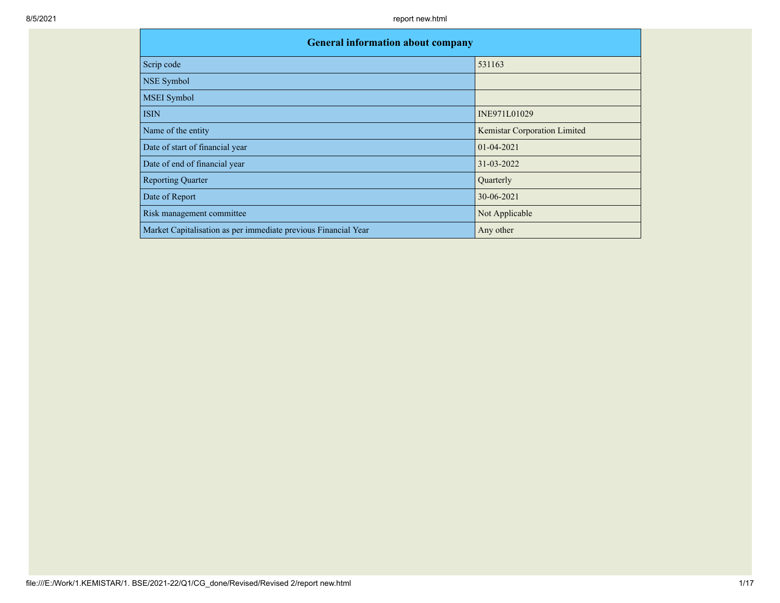| <b>General information about company</b>                       |                              |  |  |  |  |  |  |  |  |
|----------------------------------------------------------------|------------------------------|--|--|--|--|--|--|--|--|
| Scrip code                                                     | 531163                       |  |  |  |  |  |  |  |  |
| NSE Symbol                                                     |                              |  |  |  |  |  |  |  |  |
| <b>MSEI</b> Symbol                                             |                              |  |  |  |  |  |  |  |  |
| <b>ISIN</b>                                                    | INE971L01029                 |  |  |  |  |  |  |  |  |
| Name of the entity                                             | Kemistar Corporation Limited |  |  |  |  |  |  |  |  |
| Date of start of financial year                                | 01-04-2021                   |  |  |  |  |  |  |  |  |
| Date of end of financial year                                  | 31-03-2022                   |  |  |  |  |  |  |  |  |
| <b>Reporting Quarter</b>                                       | Quarterly                    |  |  |  |  |  |  |  |  |
| Date of Report                                                 | 30-06-2021                   |  |  |  |  |  |  |  |  |
| Risk management committee                                      | Not Applicable               |  |  |  |  |  |  |  |  |
| Market Capitalisation as per immediate previous Financial Year | Any other                    |  |  |  |  |  |  |  |  |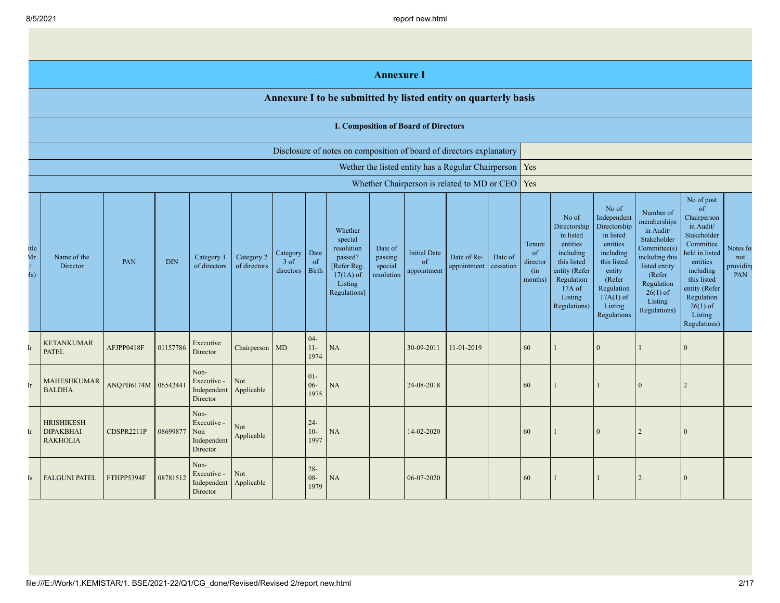|                                        |                                                                      |                    |            |                                                       |                            |                                 |                            |                                                                                                      | <b>Annexure I</b>                           |                                                    |                            |                      |                                            |                                                                                                                                                |                                                                                                                                                                             |                                                                                                                                                                          |                                                                                                                                                                                                            |                                      |
|----------------------------------------|----------------------------------------------------------------------|--------------------|------------|-------------------------------------------------------|----------------------------|---------------------------------|----------------------------|------------------------------------------------------------------------------------------------------|---------------------------------------------|----------------------------------------------------|----------------------------|----------------------|--------------------------------------------|------------------------------------------------------------------------------------------------------------------------------------------------|-----------------------------------------------------------------------------------------------------------------------------------------------------------------------------|--------------------------------------------------------------------------------------------------------------------------------------------------------------------------|------------------------------------------------------------------------------------------------------------------------------------------------------------------------------------------------------------|--------------------------------------|
|                                        |                                                                      |                    |            |                                                       |                            |                                 |                            | Annexure I to be submitted by listed entity on quarterly basis                                       |                                             |                                                    |                            |                      |                                            |                                                                                                                                                |                                                                                                                                                                             |                                                                                                                                                                          |                                                                                                                                                                                                            |                                      |
|                                        | <b>I. Composition of Board of Directors</b>                          |                    |            |                                                       |                            |                                 |                            |                                                                                                      |                                             |                                                    |                            |                      |                                            |                                                                                                                                                |                                                                                                                                                                             |                                                                                                                                                                          |                                                                                                                                                                                                            |                                      |
|                                        | Disclosure of notes on composition of board of directors explanatory |                    |            |                                                       |                            |                                 |                            |                                                                                                      |                                             |                                                    |                            |                      |                                            |                                                                                                                                                |                                                                                                                                                                             |                                                                                                                                                                          |                                                                                                                                                                                                            |                                      |
|                                        |                                                                      |                    |            |                                                       |                            |                                 |                            |                                                                                                      |                                             | Wether the listed entity has a Regular Chairperson |                            |                      | Yes                                        |                                                                                                                                                |                                                                                                                                                                             |                                                                                                                                                                          |                                                                                                                                                                                                            |                                      |
|                                        |                                                                      |                    |            |                                                       |                            |                                 |                            |                                                                                                      |                                             | Whether Chairperson is related to MD or CEO        |                            |                      | Yes                                        |                                                                                                                                                |                                                                                                                                                                             |                                                                                                                                                                          |                                                                                                                                                                                                            |                                      |
| itle<br>Mr<br>$\mathbf{I}(\mathbf{s})$ | Name of the<br>Director                                              | PAN                | <b>DIN</b> | Category 1<br>of directors                            | Category 2<br>of directors | Category<br>$3$ of<br>directors | Date<br>of<br><b>Birth</b> | Whether<br>special<br>resolution<br>passed?<br>[Refer Reg.<br>$17(1A)$ of<br>Listing<br>Regulations] | Date of<br>passing<br>special<br>resolution | <b>Initial Date</b><br>of<br>appointment           | Date of Re-<br>appointment | Date of<br>cessation | Tenure<br>of<br>director<br>(in<br>months) | No of<br>Directorship<br>in listed<br>entities<br>including<br>this listed<br>entity (Refer<br>Regulation<br>17A of<br>Listing<br>Regulations) | No of<br>Independent<br>Directorship<br>in listed<br>entities<br>including<br>this listed<br>entity<br>(Refer<br>Regulation<br>$17A(1)$ of<br>Listing<br><b>Regulations</b> | Number of<br>memberships<br>in Audit/<br>Stakeholder<br>Committee(s)<br>including this<br>listed entity<br>(Refer<br>Regulation<br>$26(1)$ of<br>Listing<br>Regulations) | No of post<br>of<br>Chairperson<br>in Audit/<br>Stakeholder<br>Committee<br>neld in listed<br>entities<br>including<br>this listed<br>entity (Refer<br>Regulation<br>$26(1)$ of<br>Listing<br>Regulations) | Notes for<br>not<br>providing<br>PAN |
| [r                                     | <b>KETANKUMAR</b><br><b>PATEL</b>                                    | AFJPP0418F         | 01157786   | Executive<br>Director                                 | Chairperson MD             |                                 | $04 -$<br>$11-$<br>1974    | $\rm NA$                                                                                             |                                             | 30-09-2011                                         | 11-01-2019                 |                      | 60                                         |                                                                                                                                                | $\Omega$                                                                                                                                                                    |                                                                                                                                                                          | $\mathbf{0}$                                                                                                                                                                                               |                                      |
| [r                                     | MAHESHKUMAR<br><b>BALDHA</b>                                         | ANQPB6174M 0654244 |            | Non-<br>Executive -<br>Independent<br>Director        | Not<br>Applicable          |                                 | $01 -$<br>$06 -$<br>1975   | <b>NA</b>                                                                                            |                                             | 24-08-2018                                         |                            |                      | 60                                         |                                                                                                                                                |                                                                                                                                                                             | $\overline{0}$                                                                                                                                                           | 2                                                                                                                                                                                                          |                                      |
| [r                                     | <b>HRISHIKESH</b><br><b>DIPAKBHAI</b><br><b>RAKHOLIA</b>             | CDSPR2211P         | 08699877   | Non-<br>Executive -<br>Non<br>Independent<br>Director | Not<br>Applicable          |                                 | $24 -$<br>$10-$<br>1997    | <b>NA</b>                                                                                            |                                             | 14-02-2020                                         |                            |                      | 60                                         |                                                                                                                                                | $\Omega$                                                                                                                                                                    | $\overline{2}$                                                                                                                                                           | $\Omega$                                                                                                                                                                                                   |                                      |
| [s                                     | <b>FALGUNI PATEL</b>                                                 | FTHPP5394F         | 08781512   | Non-<br>Executive -<br>Independent<br>Director        | Not<br>Applicable          |                                 | $28 -$<br>$08 -$<br>1979   | NA                                                                                                   |                                             | 06-07-2020                                         |                            |                      | 60                                         |                                                                                                                                                |                                                                                                                                                                             | $\overline{2}$                                                                                                                                                           | $\overline{0}$                                                                                                                                                                                             |                                      |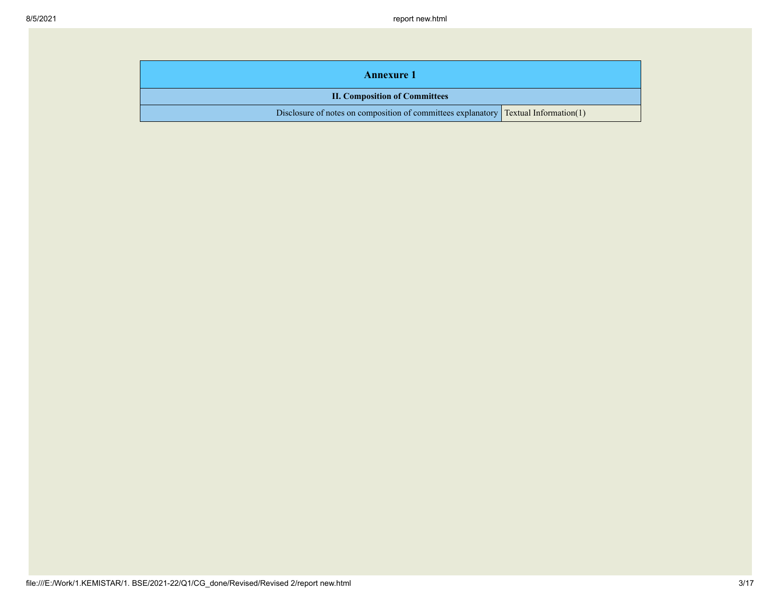| <b>Annexure 1</b>                                                                            |  |  |  |  |
|----------------------------------------------------------------------------------------------|--|--|--|--|
| <b>II. Composition of Committees</b>                                                         |  |  |  |  |
| Disclosure of notes on composition of committees explanatory $\Gamma$ Textual Information(1) |  |  |  |  |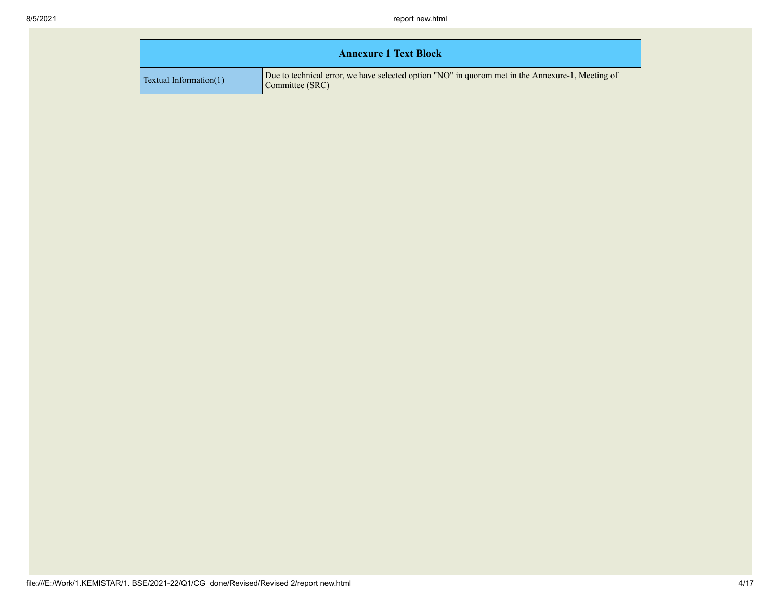|                               | <b>Annexure 1 Text Block</b>                                                                                        |
|-------------------------------|---------------------------------------------------------------------------------------------------------------------|
| <b>Textual Information(1)</b> | Due to technical error, we have selected option "NO" in quorom met in the Annexure-1, Meeting of<br>Committee (SRC) |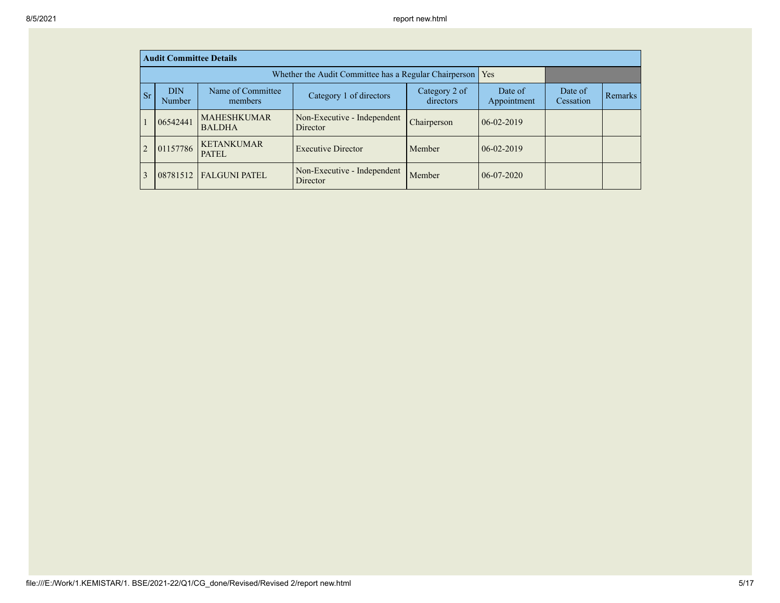|                | <b>Audit Committee Details</b> |                                                         |                                                       |                            |                        |                      |         |
|----------------|--------------------------------|---------------------------------------------------------|-------------------------------------------------------|----------------------------|------------------------|----------------------|---------|
|                |                                |                                                         | Whether the Audit Committee has a Regular Chairperson |                            | Yes                    |                      |         |
| <b>Sr</b>      | <b>DIN</b><br><b>Number</b>    | Name of Committee<br>Category 1 of directors<br>members |                                                       | Category 2 of<br>directors | Date of<br>Appointment | Date of<br>Cessation | Remarks |
|                | 06542441                       | <b>MAHESHKUMAR</b><br><b>BALDHA</b>                     | Non-Executive - Independent<br>Director               | Chairperson                | $06-02-2019$           |                      |         |
| $\overline{2}$ | 01157786                       | <b>KETANKUMAR</b><br><b>PATEL</b>                       | <b>Executive Director</b>                             | Member                     | $06-02-2019$           |                      |         |
|                |                                | 08781512   FALGUNI PATEL                                | Non-Executive - Independent<br>Director               | Member                     | $06-07-2020$           |                      |         |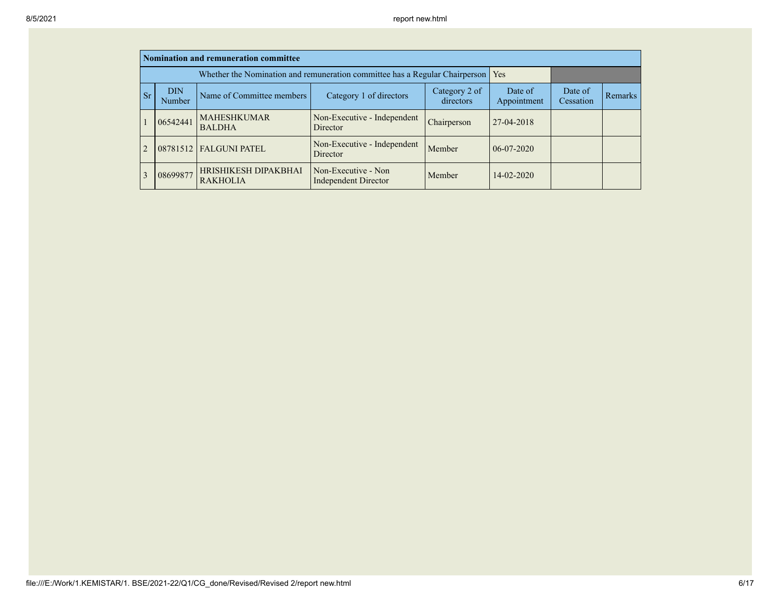|                |                                                   | Nomination and remuneration committee   |                                                                                   |                            |                        |                      |         |
|----------------|---------------------------------------------------|-----------------------------------------|-----------------------------------------------------------------------------------|----------------------------|------------------------|----------------------|---------|
|                |                                                   |                                         | Whether the Nomination and remuneration committee has a Regular Chairperson   Yes |                            |                        |                      |         |
| <b>Sr</b>      | <b>DIN</b><br>Name of Committee members<br>Number |                                         | Category 1 of directors                                                           | Category 2 of<br>directors | Date of<br>Appointment | Date of<br>Cessation | Remarks |
|                | 06542441                                          | <b>MAHESHKUMAR</b><br><b>BALDHA</b>     | Non-Executive - Independent<br>Director                                           | Chairperson                | $127 - 04 - 2018$      |                      |         |
| $\overline{2}$ |                                                   | 08781512 FALGUNI PATEL                  | Non-Executive - Independent<br>Director                                           | Member                     | $06-07-2020$           |                      |         |
|                | 08699877                                          | HRISHIKESH DIPAKBHAI<br><b>RAKHOLIA</b> | Non-Executive - Non<br><b>Independent Director</b>                                | Member                     | $14 - 02 - 2020$       |                      |         |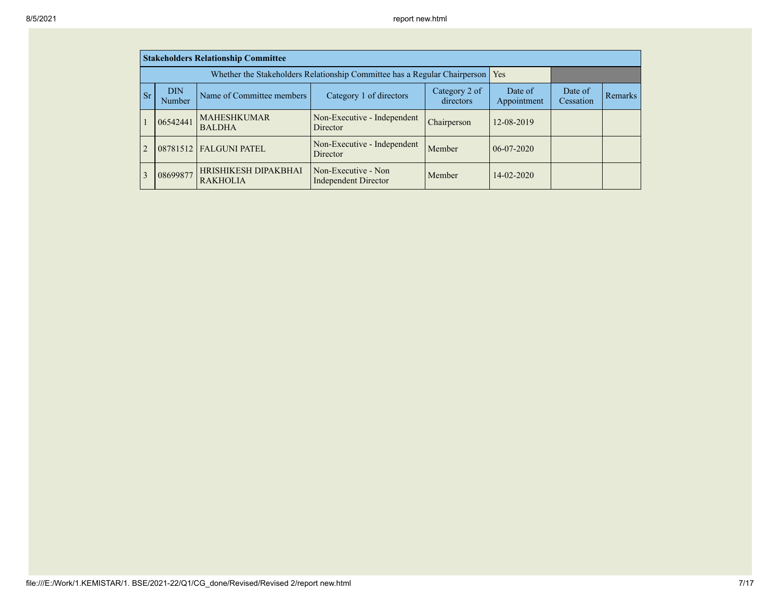|               |                                                                              | <b>Stakeholders Relationship Committee</b> |                                                                                 |                        |                      |         |  |
|---------------|------------------------------------------------------------------------------|--------------------------------------------|---------------------------------------------------------------------------------|------------------------|----------------------|---------|--|
|               |                                                                              |                                            | Whether the Stakeholders Relationship Committee has a Regular Chairperson   Yes |                        |                      |         |  |
| <sub>Sr</sub> | <b>DIN</b><br>Name of Committee members<br>Category 1 of directors<br>Number |                                            | Category 2 of<br>directors                                                      | Date of<br>Appointment | Date of<br>Cessation | Remarks |  |
|               | 06542441                                                                     | <b>MAHESHKUMAR</b><br><b>BALDHA</b>        | Non-Executive - Independent<br>Director                                         | Chairperson            | 12-08-2019           |         |  |
|               |                                                                              | 08781512   FALGUNI PATEL                   | Non-Executive - Independent<br>Director                                         | Member                 | $06-07-2020$         |         |  |
|               | 08699877                                                                     | HRISHIKESH DIPAKBHAI<br><b>RAKHOLIA</b>    | Non-Executive - Non<br><b>Independent Director</b>                              | Member                 | $14 - 02 - 2020$     |         |  |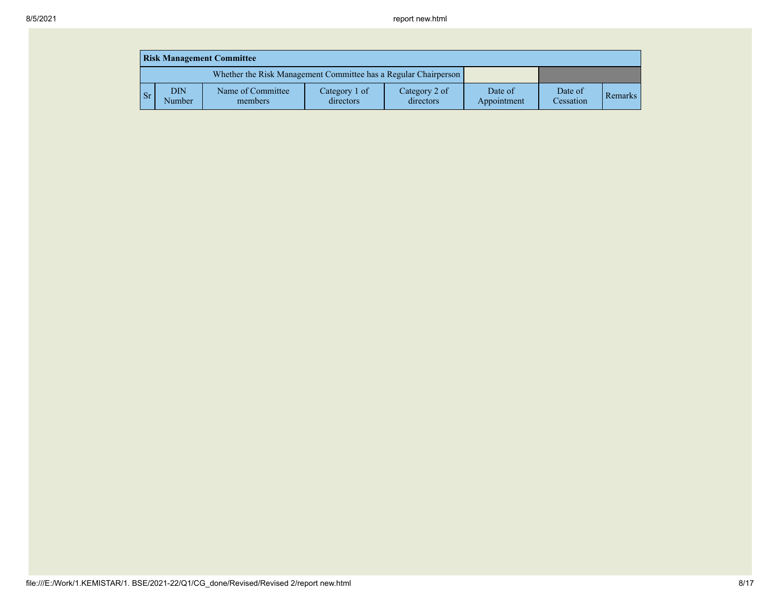|      | <b>Risk Management Committee</b> |                                                                 |                            |                            |                        |                      |                |  |  |  |  |
|------|----------------------------------|-----------------------------------------------------------------|----------------------------|----------------------------|------------------------|----------------------|----------------|--|--|--|--|
|      |                                  | Whether the Risk Management Committee has a Regular Chairperson |                            |                            |                        |                      |                |  |  |  |  |
| l Sr | <b>DIN</b><br>Number             | Name of Committee<br>members                                    | Category 1 of<br>directors | Category 2 of<br>directors | Date of<br>Appointment | Date of<br>Cessation | <b>Remarks</b> |  |  |  |  |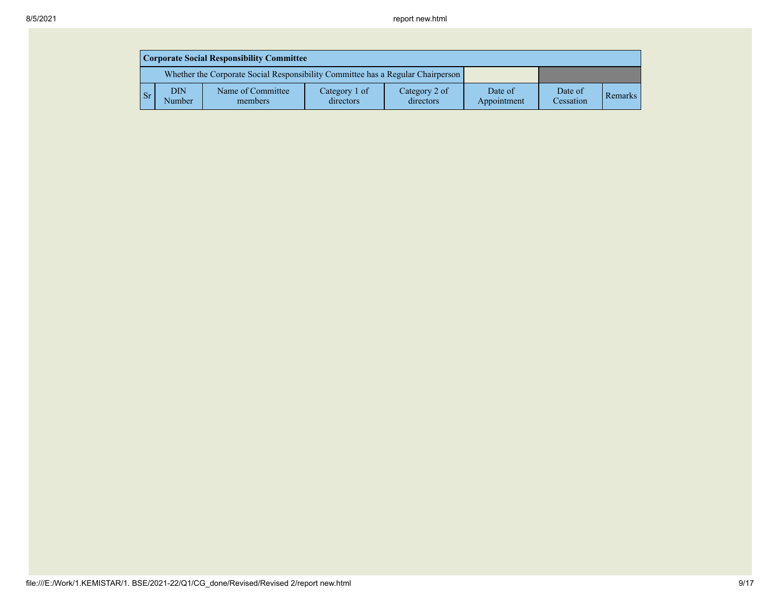|            | <b>Corporate Social Responsibility Committee</b> |                                                                                 |                            |                            |                        |                      |                |  |  |  |  |
|------------|--------------------------------------------------|---------------------------------------------------------------------------------|----------------------------|----------------------------|------------------------|----------------------|----------------|--|--|--|--|
|            |                                                  | Whether the Corporate Social Responsibility Committee has a Regular Chairperson |                            |                            |                        |                      |                |  |  |  |  |
| $\vert$ Sr | DIN<br>Number                                    | Name of Committee<br>members                                                    | Category 1 of<br>directors | Category 2 of<br>directors | Date of<br>Appointment | Date of<br>Cessation | <b>Remarks</b> |  |  |  |  |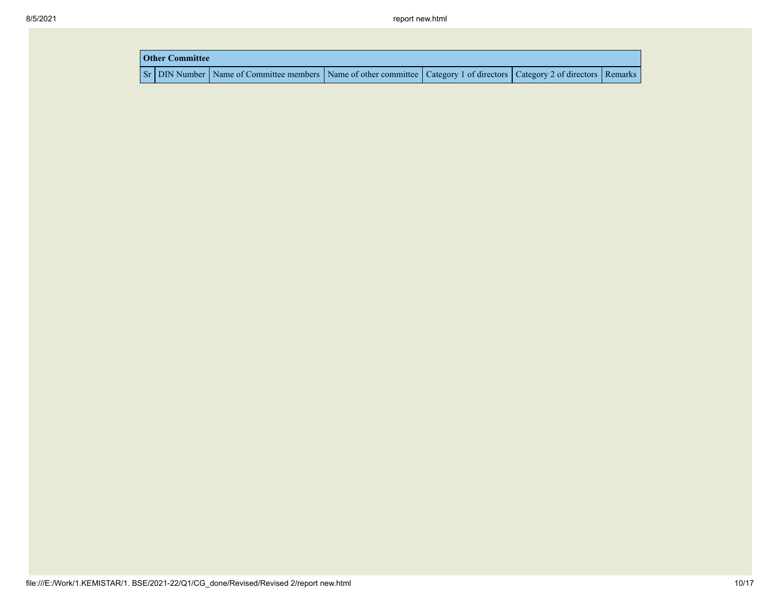| <b>Other Committee</b> |                                                                                                                         |  |  |  |  |  |  |  |  |
|------------------------|-------------------------------------------------------------------------------------------------------------------------|--|--|--|--|--|--|--|--|
|                        | Sr DIN Number Name of Committee members Name of other committee Category 1 of directors Category 2 of directors Remarks |  |  |  |  |  |  |  |  |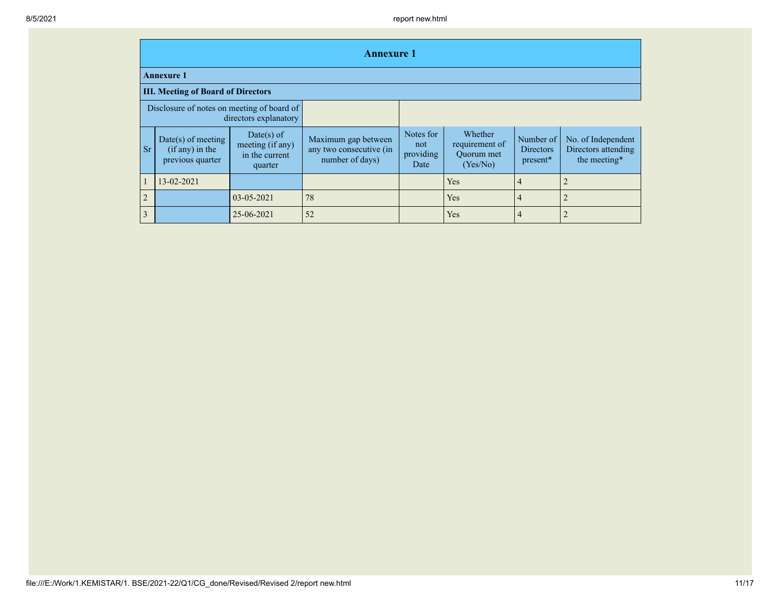|                | <b>Annexure 1</b>                                             |                                                             |                                                                   |                                       |                                                     |                                           |                                                           |  |  |  |  |
|----------------|---------------------------------------------------------------|-------------------------------------------------------------|-------------------------------------------------------------------|---------------------------------------|-----------------------------------------------------|-------------------------------------------|-----------------------------------------------------------|--|--|--|--|
|                | <b>Annexure 1</b>                                             |                                                             |                                                                   |                                       |                                                     |                                           |                                                           |  |  |  |  |
|                | <b>III. Meeting of Board of Directors</b>                     |                                                             |                                                                   |                                       |                                                     |                                           |                                                           |  |  |  |  |
|                | Disclosure of notes on meeting of board of                    | directors explanatory                                       |                                                                   |                                       |                                                     |                                           |                                                           |  |  |  |  |
| <b>Sr</b>      | $Date(s)$ of meeting<br>$(if any)$ in the<br>previous quarter | Date(s) of<br>meeting (if any)<br>in the current<br>quarter | Maximum gap between<br>any two consecutive (in<br>number of days) | Notes for<br>not<br>providing<br>Date | Whether<br>requirement of<br>Quorum met<br>(Yes/No) | Number of<br><b>Directors</b><br>present* | No. of Independent<br>Directors attending<br>the meeting* |  |  |  |  |
|                | 13-02-2021                                                    |                                                             |                                                                   |                                       | Yes                                                 | 4                                         |                                                           |  |  |  |  |
| $\overline{2}$ |                                                               | 03-05-2021                                                  | 78                                                                |                                       | Yes                                                 | $\overline{4}$                            |                                                           |  |  |  |  |
| $\overline{3}$ |                                                               | 25-06-2021                                                  | 52                                                                |                                       | Yes                                                 | 4                                         |                                                           |  |  |  |  |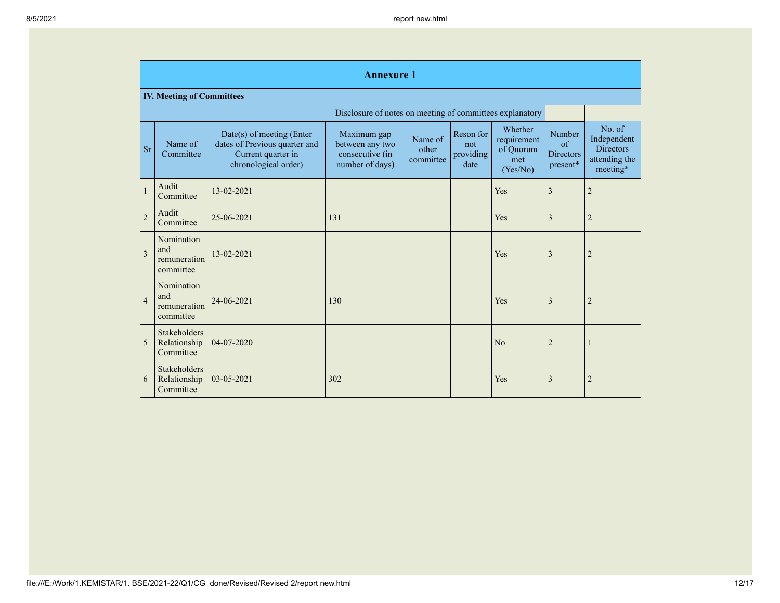|                | <b>Annexure 1</b>                                |                                                                                                            |                                                                      |                               |                                       |                                                        |                                                      |                                                                        |  |  |  |
|----------------|--------------------------------------------------|------------------------------------------------------------------------------------------------------------|----------------------------------------------------------------------|-------------------------------|---------------------------------------|--------------------------------------------------------|------------------------------------------------------|------------------------------------------------------------------------|--|--|--|
|                | <b>IV. Meeting of Committees</b>                 |                                                                                                            |                                                                      |                               |                                       |                                                        |                                                      |                                                                        |  |  |  |
|                |                                                  |                                                                                                            | Disclosure of notes on meeting of committees explanatory             |                               |                                       |                                                        |                                                      |                                                                        |  |  |  |
| <b>Sr</b>      | Name of<br>Committee                             | $Date(s)$ of meeting (Enter<br>dates of Previous quarter and<br>Current quarter in<br>chronological order) | Maximum gap<br>between any two<br>consecutive (in<br>number of days) | Name of<br>other<br>committee | Reson for<br>not<br>providing<br>date | Whether<br>requirement<br>of Quorum<br>met<br>(Yes/No) | Number<br>$\sigma$ f<br><b>Directors</b><br>present* | No. of<br>Independent<br><b>Directors</b><br>attending the<br>meeting* |  |  |  |
| $\mathbf{1}$   | Audit<br>Committee                               | 13-02-2021                                                                                                 |                                                                      |                               |                                       | Yes                                                    | 3                                                    | $\overline{2}$                                                         |  |  |  |
| $\overline{2}$ | Audit<br>Committee                               | 25-06-2021                                                                                                 | 131                                                                  |                               |                                       | Yes                                                    | 3                                                    | $\overline{2}$                                                         |  |  |  |
| $\overline{3}$ | Nomination<br>and<br>remuneration<br>committee   | 13-02-2021                                                                                                 |                                                                      |                               |                                       | Yes                                                    | 3                                                    | $\overline{2}$                                                         |  |  |  |
| $\overline{4}$ | Nomination<br>and<br>remuneration<br>committee   | 24-06-2021                                                                                                 | 130                                                                  |                               |                                       | Yes                                                    | 3                                                    | $\overline{2}$                                                         |  |  |  |
| 5              | Stakeholders<br>Relationship<br>Committee        | 04-07-2020                                                                                                 |                                                                      |                               |                                       | N <sub>o</sub>                                         | $\overline{2}$                                       |                                                                        |  |  |  |
| 6              | <b>Stakeholders</b><br>Relationship<br>Committee | 03-05-2021                                                                                                 | 302                                                                  |                               |                                       | Yes                                                    | 3                                                    | $\overline{2}$                                                         |  |  |  |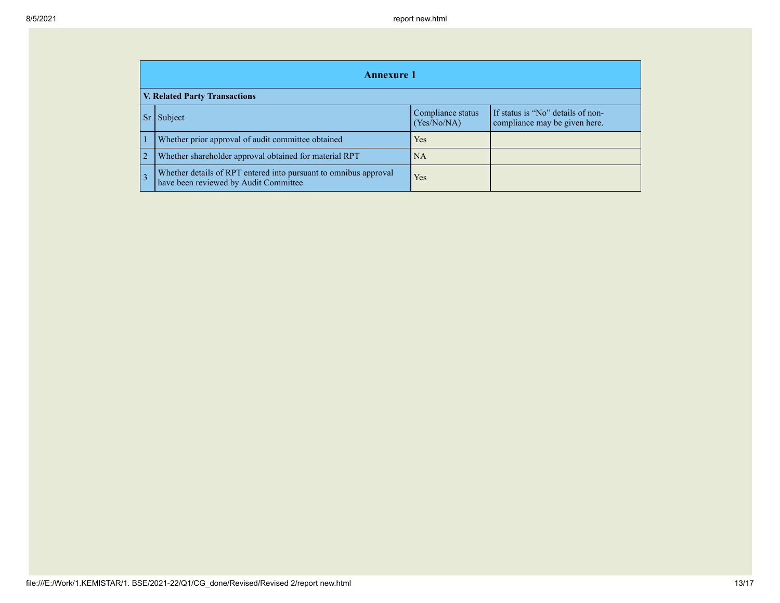|                               | <b>Annexure 1</b>                                                                                         |                                  |                                                                    |  |  |  |
|-------------------------------|-----------------------------------------------------------------------------------------------------------|----------------------------------|--------------------------------------------------------------------|--|--|--|
| V. Related Party Transactions |                                                                                                           |                                  |                                                                    |  |  |  |
| Sr                            | Subject                                                                                                   | Compliance status<br>(Yes/No/NA) | If status is "No" details of non-<br>compliance may be given here. |  |  |  |
|                               | Whether prior approval of audit committee obtained                                                        | Yes                              |                                                                    |  |  |  |
| $\overline{2}$                | Whether shareholder approval obtained for material RPT                                                    | <b>NA</b>                        |                                                                    |  |  |  |
| 3                             | Whether details of RPT entered into pursuant to omnibus approval<br>have been reviewed by Audit Committee | Yes                              |                                                                    |  |  |  |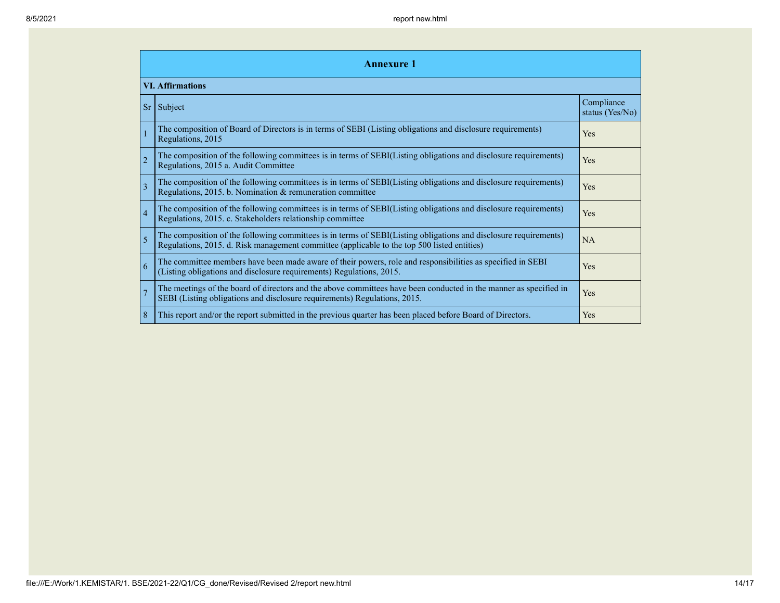| <b>Annexure 1</b>       |                                                                                                                                                                                                                 |                               |  |  |
|-------------------------|-----------------------------------------------------------------------------------------------------------------------------------------------------------------------------------------------------------------|-------------------------------|--|--|
| <b>VI. Affirmations</b> |                                                                                                                                                                                                                 |                               |  |  |
| <b>Sr</b>               | Subject                                                                                                                                                                                                         | Compliance<br>status (Yes/No) |  |  |
|                         | The composition of Board of Directors is in terms of SEBI (Listing obligations and disclosure requirements)<br>Regulations, 2015                                                                                | Yes                           |  |  |
| $\overline{2}$          | The composition of the following committees is in terms of SEBI(Listing obligations and disclosure requirements)<br>Regulations, 2015 a. Audit Committee                                                        | Yes                           |  |  |
| 3                       | The composition of the following committees is in terms of SEBI(Listing obligations and disclosure requirements)<br>Regulations, 2015. b. Nomination & remuneration committee                                   | Yes                           |  |  |
| $\overline{4}$          | The composition of the following committees is in terms of SEBI(Listing obligations and disclosure requirements)<br>Regulations, 2015. c. Stakeholders relationship committee                                   | Yes                           |  |  |
| 5                       | The composition of the following committees is in terms of SEBI(Listing obligations and disclosure requirements)<br>Regulations, 2015. d. Risk management committee (applicable to the top 500 listed entities) | NA                            |  |  |
| $\overline{6}$          | The committee members have been made aware of their powers, role and responsibilities as specified in SEBI<br>(Listing obligations and disclosure requirements) Regulations, 2015.                              | Yes                           |  |  |
| $\overline{7}$          | The meetings of the board of directors and the above committees have been conducted in the manner as specified in<br>SEBI (Listing obligations and disclosure requirements) Regulations, 2015.                  | Yes                           |  |  |
| 8                       | This report and/or the report submitted in the previous quarter has been placed before Board of Directors.                                                                                                      | Yes                           |  |  |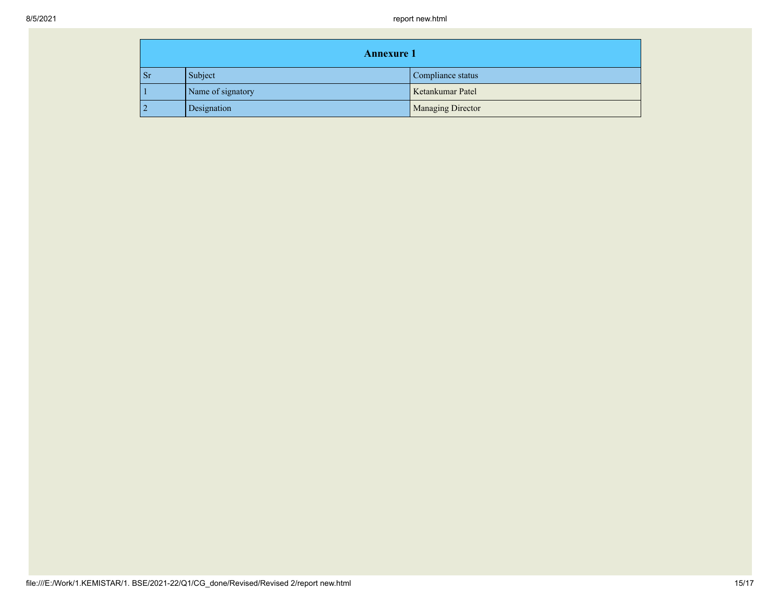| <b>Annexure 1</b> |                   |                          |  |  |
|-------------------|-------------------|--------------------------|--|--|
| <b>Sr</b>         | Subject           | Compliance status        |  |  |
|                   | Name of signatory | Ketankumar Patel         |  |  |
| $\overline{2}$    | Designation       | <b>Managing Director</b> |  |  |